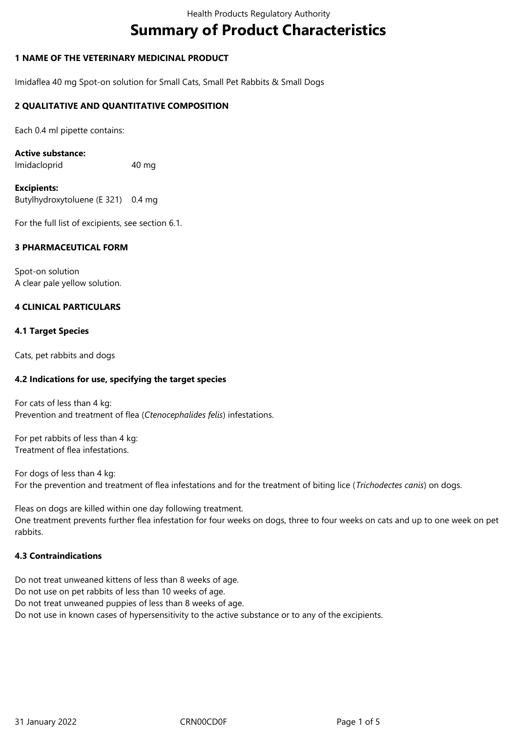# **Summary of Product Characteristics**

# **1 NAME OF THE VETERINARY MEDICINAL PRODUCT**

Imidaflea 40 mg Spot-on solution for Small Cats, Small Pet Rabbits & Small Dogs

## **2 QUALITATIVE AND QUANTITATIVE COMPOSITION**

Each 0.4 ml pipette contains:

## **Active substance:**

Imidacloprid 40 mg

#### **Excipients:** Butylhydroxytoluene (E 321) 0.4 mg

For the full list of excipients, see section 6.1.

# **3 PHARMACEUTICAL FORM**

Spot-on solution A clear pale yellow solution.

# **4 CLINICAL PARTICULARS**

## **4.1 Target Species**

Cats, pet rabbits and dogs

# **4.2 Indications for use, specifying the target species**

For cats of less than 4 kg: Prevention and treatment of flea (*Ctenocephalides felis*) infestations.

For pet rabbits of less than 4 kg: Treatment of flea infestations.

For dogs of less than 4 kg: For the prevention and treatment of flea infestations and for the treatment of biting lice (*Trichodectes canis*) on dogs.

Fleas on dogs are killed within one day following treatment. One treatment prevents further flea infestation for four weeks on dogs, three to four weeks on cats and up to one week on pet rabbits.

# **4.3 Contraindications**

Do not treat unweaned kittens of less than 8 weeks of age. Do not use on pet rabbits of less than 10 weeks of age. Do not treat unweaned puppies of less than 8 weeks of age. Do not use in known cases of hypersensitivity to the active substance or to any of the excipients.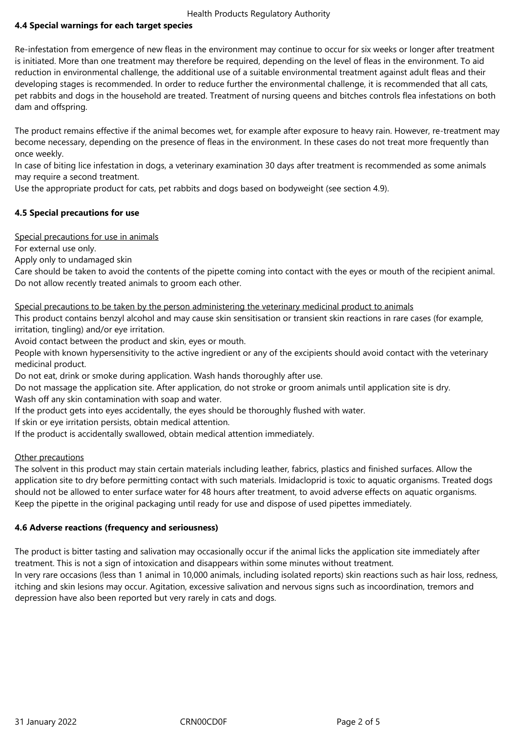# **4.4 Special warnings for each target species**

Re-infestation from emergence of new fleas in the environment may continue to occur for six weeks or longer after treatment is initiated. More than one treatment may therefore be required, depending on the level of fleas in the environment. To aid reduction in environmental challenge, the additional use of a suitable environmental treatment against adult fleas and their developing stages is recommended. In order to reduce further the environmental challenge, it is recommended that all cats, pet rabbits and dogs in the household are treated. Treatment of nursing queens and bitches controls flea infestations on both dam and offspring.

The product remains effective if the animal becomes wet, for example after exposure to heavy rain. However, re-treatment may become necessary, depending on the presence of fleas in the environment. In these cases do not treat more frequently than once weekly.

In case of biting lice infestation in dogs, a veterinary examination 30 days after treatment is recommended as some animals may require a second treatment.

Use the appropriate product for cats, pet rabbits and dogs based on bodyweight (see section 4.9).

# **4.5 Special precautions for use**

Special precautions for use in animals

For external use only.

Apply only to undamaged skin

Care should be taken to avoid the contents of the pipette coming into contact with the eyes or mouth of the recipient animal. Do not allow recently treated animals to groom each other.

## Special precautions to be taken by the person administering the veterinary medicinal product to animals

This product contains benzyl alcohol and may cause skin sensitisation or transient skin reactions in rare cases (for example, irritation, tingling) and/or eye irritation.

Avoid contact between the product and skin, eyes or mouth.

People with known hypersensitivity to the active ingredient or any of the excipients should avoid contact with the veterinary medicinal product.

Do not eat, drink or smoke during application. Wash hands thoroughly after use.

Do not massage the application site. After application, do not stroke or groom animals until application site is dry.

Wash off any skin contamination with soap and water.

If the product gets into eyes accidentally, the eyes should be thoroughly flushed with water.

If skin or eye irritation persists, obtain medical attention.

If the product is accidentally swallowed, obtain medical attention immediately.

# Other precautions

The solvent in this product may stain certain materials including leather, fabrics, plastics and finished surfaces. Allow the application site to dry before permitting contact with such materials. Imidacloprid is toxic to aquatic organisms. Treated dogs should not be allowed to enter surface water for 48 hours after treatment, to avoid adverse effects on aquatic organisms. Keep the pipette in the original packaging until ready for use and dispose of used pipettes immediately.

# **4.6 Adverse reactions (frequency and seriousness)**

The product is bitter tasting and salivation may occasionally occur if the animal licks the application site immediately after treatment. This is not a sign of intoxication and disappears within some minutes without treatment.

In very rare occasions (less than 1 animal in 10,000 animals, including isolated reports) skin reactions such as hair loss, redness, itching and skin lesions may occur. Agitation, excessive salivation and nervous signs such as incoordination, tremors and depression have also been reported but very rarely in cats and dogs.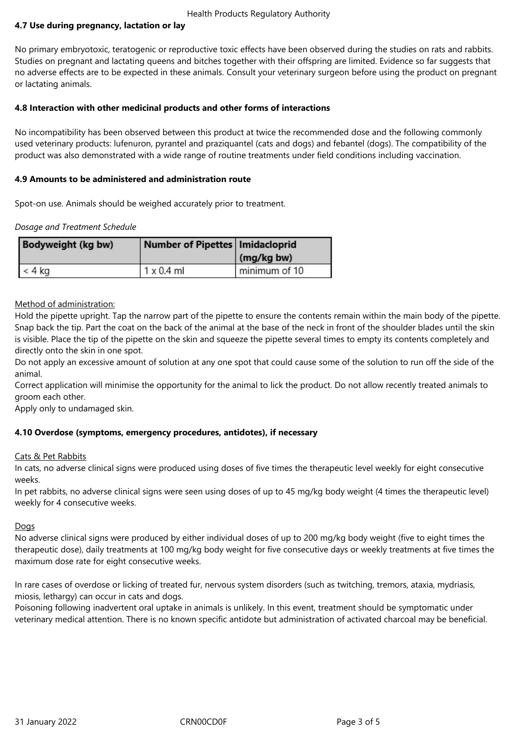## **4.7 Use during pregnancy, lactation or lay**

No primary embryotoxic, teratogenic or reproductive toxic effects have been observed during the studies on rats and rabbits. Studies on pregnant and lactating queens and bitches together with their offspring are limited. Evidence so far suggests that no adverse effects are to be expected in these animals. Consult your veterinary surgeon before using the product on pregnant or lactating animals.

## **4.8 Interaction with other medicinal products and other forms of interactions**

No incompatibility has been observed between this product at twice the recommended dose and the following commonly used veterinary products: lufenuron, pyrantel and praziquantel (cats and dogs) and febantel (dogs). The compatibility of the product was also demonstrated with a wide range of routine treatments under field conditions including vaccination.

## **4.9 Amounts to be administered and administration route**

Spot-on use. Animals should be weighed accurately prior to treatment.

#### *Dosage and Treatment Schedule*

| Bodyweight (kg bw) | Number of Pipettes   Imidacloprid | (mg/kg bw)    |
|--------------------|-----------------------------------|---------------|
| $< 4$ kg           | $1 \times 0.4$ ml                 | minimum of 10 |

Method of administration:

Hold the pipette upright. Tap the narrow part of the pipette to ensure the contents remain within the main body of the pipette. Snap back the tip. Part the coat on the back of the animal at the base of the neck in front of the shoulder blades until the skin is visible. Place the tip of the pipette on the skin and squeeze the pipette several times to empty its contents completely and directly onto the skin in one spot.

Do not apply an excessive amount of solution at any one spot that could cause some of the solution to run off the side of the animal.

Correct application will minimise the opportunity for the animal to lick the product. Do not allow recently treated animals to groom each other.

Apply only to undamaged skin.

# **4.10 Overdose (symptoms, emergency procedures, antidotes), if necessary**

#### Cats & Pet Rabbits

In cats, no adverse clinical signs were produced using doses of five times the therapeutic level weekly for eight consecutive weeks.

In pet rabbits, no adverse clinical signs were seen using doses of up to 45 mg/kg body weight (4 times the therapeutic level) weekly for 4 consecutive weeks.

#### **Dogs**

No adverse clinical signs were produced by either individual doses of up to 200 mg/kg body weight (five to eight times the therapeutic dose), daily treatments at 100 mg/kg body weight for five consecutive days or weekly treatments at five times the maximum dose rate for eight consecutive weeks.

In rare cases of overdose or licking of treated fur, nervous system disorders (such as twitching, tremors, ataxia, mydriasis, miosis, lethargy) can occur in cats and dogs.

Poisoning following inadvertent oral uptake in animals is unlikely. In this event, treatment should be symptomatic under veterinary medical attention. There is no known specific antidote but administration of activated charcoal may be beneficial.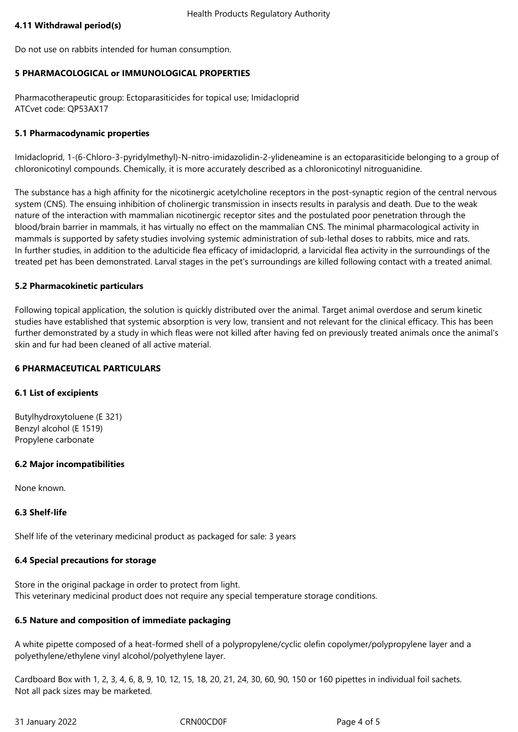## **4.11 Withdrawal period(s)**

Do not use on rabbits intended for human consumption.

## **5 PHARMACOLOGICAL or IMMUNOLOGICAL PROPERTIES**

Pharmacotherapeutic group: Ectoparasiticides for topical use; Imidacloprid ATCvet code: QP53AX17

## **5.1 Pharmacodynamic properties**

Imidacloprid, 1-(6-Chloro-3-pyridylmethyl)-N-nitro-imidazolidin-2-ylideneamine is an ectoparasiticide belonging to a group of chloronicotinyl compounds. Chemically, it is more accurately described as a chloronicotinyl nitroguanidine.

The substance has a high affinity for the nicotinergic acetylcholine receptors in the post-synaptic region of the central nervous system (CNS). The ensuing inhibition of cholinergic transmission in insects results in paralysis and death. Due to the weak nature of the interaction with mammalian nicotinergic receptor sites and the postulated poor penetration through the blood/brain barrier in mammals, it has virtually no effect on the mammalian CNS. The minimal pharmacological activity in mammals is supported by safety studies involving systemic administration of sub-lethal doses to rabbits, mice and rats. In further studies, in addition to the adulticide flea efficacy of imidacloprid, a larvicidal flea activity in the surroundings of the treated pet has been demonstrated. Larval stages in the pet's surroundings are killed following contact with a treated animal.

#### **5.2 Pharmacokinetic particulars**

Following topical application, the solution is quickly distributed over the animal. Target animal overdose and serum kinetic studies have established that systemic absorption is very low, transient and not relevant for the clinical efficacy. This has been further demonstrated by a study in which fleas were not killed after having fed on previously treated animals once the animal's skin and fur had been cleaned of all active material.

## **6 PHARMACEUTICAL PARTICULARS**

#### **6.1 List of excipients**

Butylhydroxytoluene (E 321) Benzyl alcohol (E 1519) Propylene carbonate

#### **6.2 Major incompatibilities**

None known.

#### **6.3 Shelf-life**

Shelf life of the veterinary medicinal product as packaged for sale: 3 years

#### **6.4 Special precautions for storage**

Store in the original package in order to protect from light. This veterinary medicinal product does not require any special temperature storage conditions.

# **6.5 Nature and composition of immediate packaging**

A white pipette composed of a heat-formed shell of a polypropylene/cyclic olefin copolymer/polypropylene layer and a polyethylene/ethylene vinyl alcohol/polyethylene layer.

Cardboard Box with 1, 2, 3, 4, 6, 8, 9, 10, 12, 15, 18, 20, 21, 24, 30, 60, 90, 150 or 160 pipettes in individual foil sachets. Not all pack sizes may be marketed.